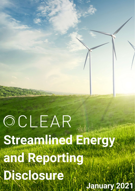## OCLEAR Streamlined Fneteyw Charles Dorthne Disclosure **January 2021**